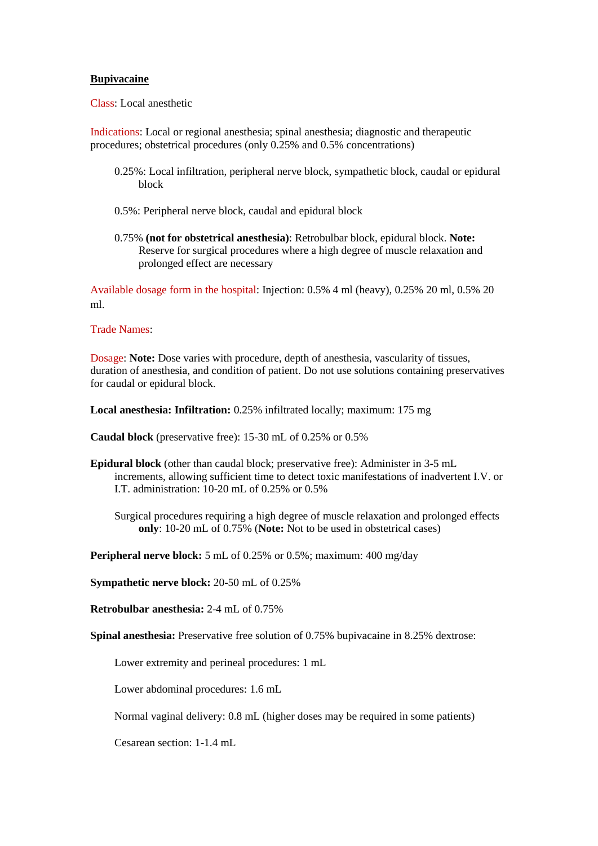## **Bupivacaine**

Class: Local anesthetic

Indications: Local or regional anesthesia; spinal anesthesia; diagnostic and therapeutic procedures; obstetrical procedures (only 0.25% and 0.5% concentrations)

- 0.25%: Local infiltration, peripheral nerve block, sympathetic block, caudal or epidural block
- 0.5%: Peripheral nerve block, caudal and epidural block
- 0.75% **(not for obstetrical anesthesia)**: Retrobulbar block, epidural block. **Note:** Reserve for surgical procedures where a high degree of muscle relaxation and prolonged effect are necessary

Available dosage form in the hospital: Injection: 0.5% 4 ml (heavy), 0.25% 20 ml, 0.5% 20 ml.

## Trade Names:

Dosage: **Note:** Dose varies with procedure, depth of anesthesia, vascularity of tissues, duration of anesthesia, and condition of patient. Do not use solutions containing preservatives for caudal or epidural block.

**Local anesthesia: Infiltration:** 0.25% infiltrated locally; maximum: 175 mg

**Caudal block** (preservative free): 15-30 mL of 0.25% or 0.5%

**Epidural block** (other than caudal block; preservative free): Administer in 3-5 mL increments, allowing sufficient time to detect toxic manifestations of inadvertent I.V. or I.T. administration: 10-20 mL of 0.25% or 0.5%

Surgical procedures requiring a high degree of muscle relaxation and prolonged effects **only**: 10-20 mL of 0.75% (**Note:** Not to be used in obstetrical cases)

**Peripheral nerve block:** 5 mL of 0.25% or 0.5%; maximum: 400 mg/day

**Sympathetic nerve block:** 20-50 mL of 0.25%

**Retrobulbar anesthesia:** 2-4 mL of 0.75%

**Spinal anesthesia:** Preservative free solution of 0.75% bupivacaine in 8.25% dextrose:

Lower extremity and perineal procedures: 1 mL

Lower abdominal procedures: 1.6 mL

Normal vaginal delivery: 0.8 mL (higher doses may be required in some patients)

Cesarean section: 1-1.4 mL